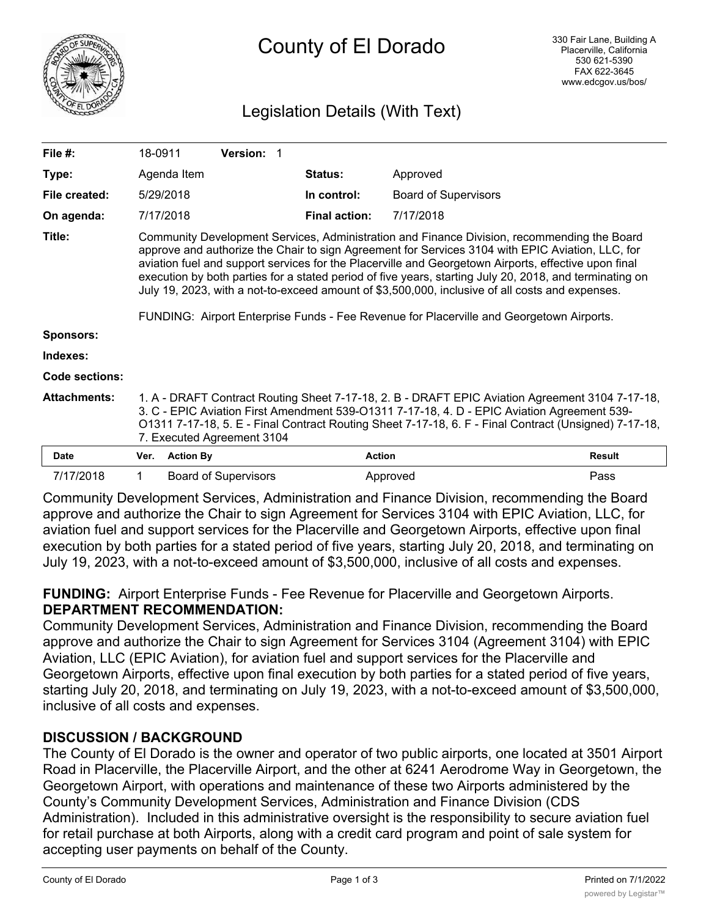

# Legislation Details (With Text)

| File $#$ :            | 18-0911                                                                                                                                                                                                                                                                                                                                                                                                                                                                                                                                                                                                           |                  | <b>Version: 1</b>           |  |                      |                             |               |
|-----------------------|-------------------------------------------------------------------------------------------------------------------------------------------------------------------------------------------------------------------------------------------------------------------------------------------------------------------------------------------------------------------------------------------------------------------------------------------------------------------------------------------------------------------------------------------------------------------------------------------------------------------|------------------|-----------------------------|--|----------------------|-----------------------------|---------------|
| Type:                 |                                                                                                                                                                                                                                                                                                                                                                                                                                                                                                                                                                                                                   | Agenda Item      |                             |  | <b>Status:</b>       | Approved                    |               |
| File created:         |                                                                                                                                                                                                                                                                                                                                                                                                                                                                                                                                                                                                                   | 5/29/2018        |                             |  | In control:          | <b>Board of Supervisors</b> |               |
| On agenda:            |                                                                                                                                                                                                                                                                                                                                                                                                                                                                                                                                                                                                                   | 7/17/2018        |                             |  | <b>Final action:</b> | 7/17/2018                   |               |
| Title:                | Community Development Services, Administration and Finance Division, recommending the Board<br>approve and authorize the Chair to sign Agreement for Services 3104 with EPIC Aviation, LLC, for<br>aviation fuel and support services for the Placerville and Georgetown Airports, effective upon final<br>execution by both parties for a stated period of five years, starting July 20, 2018, and terminating on<br>July 19, 2023, with a not-to-exceed amount of \$3,500,000, inclusive of all costs and expenses.<br>FUNDING: Airport Enterprise Funds - Fee Revenue for Placerville and Georgetown Airports. |                  |                             |  |                      |                             |               |
| <b>Sponsors:</b>      |                                                                                                                                                                                                                                                                                                                                                                                                                                                                                                                                                                                                                   |                  |                             |  |                      |                             |               |
| Indexes:              |                                                                                                                                                                                                                                                                                                                                                                                                                                                                                                                                                                                                                   |                  |                             |  |                      |                             |               |
| <b>Code sections:</b> |                                                                                                                                                                                                                                                                                                                                                                                                                                                                                                                                                                                                                   |                  |                             |  |                      |                             |               |
| <b>Attachments:</b>   | 1. A - DRAFT Contract Routing Sheet 7-17-18, 2. B - DRAFT EPIC Aviation Agreement 3104 7-17-18,<br>3. C - EPIC Aviation First Amendment 539-01311 7-17-18, 4. D - EPIC Aviation Agreement 539-<br>O1311 7-17-18, 5. E - Final Contract Routing Sheet 7-17-18, 6. F - Final Contract (Unsigned) 7-17-18,<br>7. Executed Agreement 3104                                                                                                                                                                                                                                                                             |                  |                             |  |                      |                             |               |
| Date                  | Ver.                                                                                                                                                                                                                                                                                                                                                                                                                                                                                                                                                                                                              | <b>Action By</b> |                             |  |                      | <b>Action</b>               | <b>Result</b> |
| 7/17/2018             | $\mathbf 1$                                                                                                                                                                                                                                                                                                                                                                                                                                                                                                                                                                                                       |                  | <b>Board of Supervisors</b> |  |                      | Approved                    | Pass          |

Community Development Services, Administration and Finance Division, recommending the Board approve and authorize the Chair to sign Agreement for Services 3104 with EPIC Aviation, LLC, for aviation fuel and support services for the Placerville and Georgetown Airports, effective upon final execution by both parties for a stated period of five years, starting July 20, 2018, and terminating on July 19, 2023, with a not-to-exceed amount of \$3,500,000, inclusive of all costs and expenses.

**FUNDING:** Airport Enterprise Funds - Fee Revenue for Placerville and Georgetown Airports. **DEPARTMENT RECOMMENDATION:**

Community Development Services, Administration and Finance Division, recommending the Board approve and authorize the Chair to sign Agreement for Services 3104 (Agreement 3104) with EPIC Aviation, LLC (EPIC Aviation), for aviation fuel and support services for the Placerville and Georgetown Airports, effective upon final execution by both parties for a stated period of five years, starting July 20, 2018, and terminating on July 19, 2023, with a not-to-exceed amount of \$3,500,000, inclusive of all costs and expenses.

# **DISCUSSION / BACKGROUND**

The County of El Dorado is the owner and operator of two public airports, one located at 3501 Airport Road in Placerville, the Placerville Airport, and the other at 6241 Aerodrome Way in Georgetown, the Georgetown Airport, with operations and maintenance of these two Airports administered by the County's Community Development Services, Administration and Finance Division (CDS Administration). Included in this administrative oversight is the responsibility to secure aviation fuel for retail purchase at both Airports, along with a credit card program and point of sale system for accepting user payments on behalf of the County.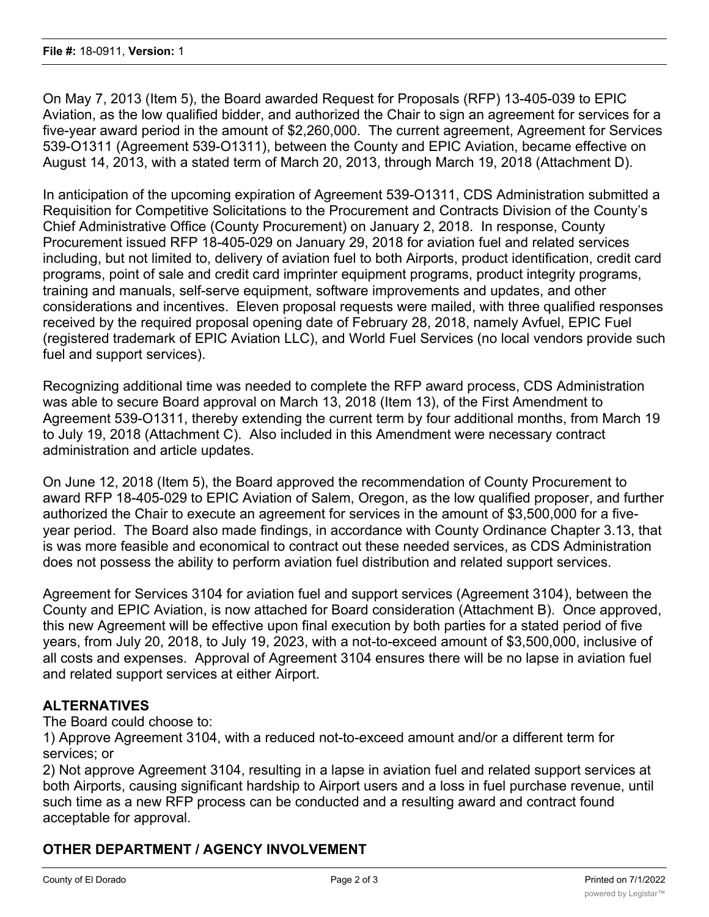On May 7, 2013 (Item 5), the Board awarded Request for Proposals (RFP) 13-405-039 to EPIC Aviation, as the low qualified bidder, and authorized the Chair to sign an agreement for services for a five-year award period in the amount of \$2,260,000. The current agreement, Agreement for Services 539-O1311 (Agreement 539-O1311), between the County and EPIC Aviation, became effective on August 14, 2013, with a stated term of March 20, 2013, through March 19, 2018 (Attachment D).

In anticipation of the upcoming expiration of Agreement 539-O1311, CDS Administration submitted a Requisition for Competitive Solicitations to the Procurement and Contracts Division of the County's Chief Administrative Office (County Procurement) on January 2, 2018. In response, County Procurement issued RFP 18-405-029 on January 29, 2018 for aviation fuel and related services including, but not limited to, delivery of aviation fuel to both Airports, product identification, credit card programs, point of sale and credit card imprinter equipment programs, product integrity programs, training and manuals, self-serve equipment, software improvements and updates, and other considerations and incentives. Eleven proposal requests were mailed, with three qualified responses received by the required proposal opening date of February 28, 2018, namely Avfuel, EPIC Fuel (registered trademark of EPIC Aviation LLC), and World Fuel Services (no local vendors provide such fuel and support services).

Recognizing additional time was needed to complete the RFP award process, CDS Administration was able to secure Board approval on March 13, 2018 (Item 13), of the First Amendment to Agreement 539-O1311, thereby extending the current term by four additional months, from March 19 to July 19, 2018 (Attachment C). Also included in this Amendment were necessary contract administration and article updates.

On June 12, 2018 (Item 5), the Board approved the recommendation of County Procurement to award RFP 18-405-029 to EPIC Aviation of Salem, Oregon, as the low qualified proposer, and further authorized the Chair to execute an agreement for services in the amount of \$3,500,000 for a fiveyear period. The Board also made findings, in accordance with County Ordinance Chapter 3.13, that is was more feasible and economical to contract out these needed services, as CDS Administration does not possess the ability to perform aviation fuel distribution and related support services.

Agreement for Services 3104 for aviation fuel and support services (Agreement 3104), between the County and EPIC Aviation, is now attached for Board consideration (Attachment B). Once approved, this new Agreement will be effective upon final execution by both parties for a stated period of five years, from July 20, 2018, to July 19, 2023, with a not-to-exceed amount of \$3,500,000, inclusive of all costs and expenses. Approval of Agreement 3104 ensures there will be no lapse in aviation fuel and related support services at either Airport.

# **ALTERNATIVES**

The Board could choose to:

1) Approve Agreement 3104, with a reduced not-to-exceed amount and/or a different term for services; or

2) Not approve Agreement 3104, resulting in a lapse in aviation fuel and related support services at both Airports, causing significant hardship to Airport users and a loss in fuel purchase revenue, until such time as a new RFP process can be conducted and a resulting award and contract found acceptable for approval.

## **OTHER DEPARTMENT / AGENCY INVOLVEMENT**